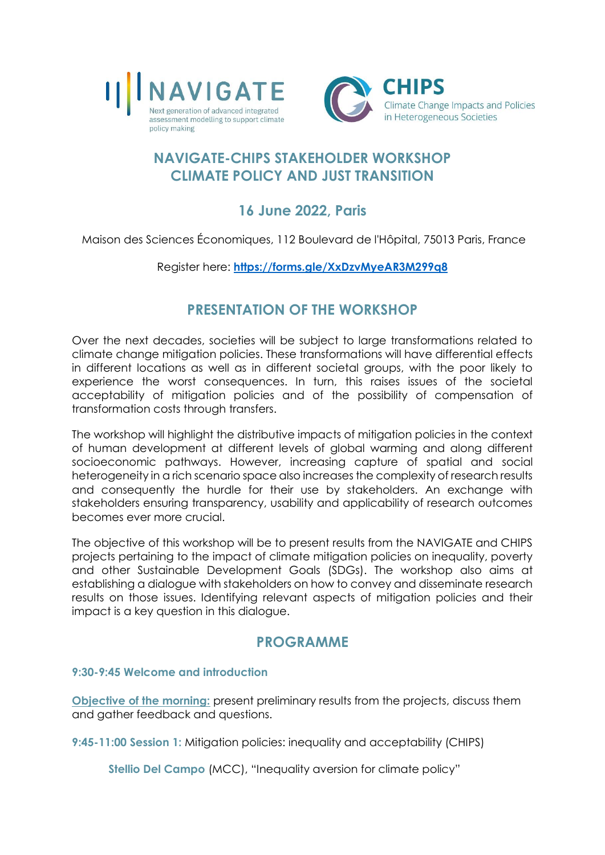



# **NAVIGATE-CHIPS STAKEHOLDER WORKSHOP CLIMATE POLICY AND JUST TRANSITION**

# **16 June 2022, Paris**

Maison des Sciences Économiques, 112 Boulevard de l'Hôpital, 75013 Paris, France

### Register here: **<https://forms.gle/XxDzvMyeAR3M299q8>**

## **PRESENTATION OF THE WORKSHOP**

Over the next decades, societies will be subject to large transformations related to climate change mitigation policies. These transformations will have differential effects in different locations as well as in different societal groups, with the poor likely to experience the worst consequences. In turn, this raises issues of the societal acceptability of mitigation policies and of the possibility of compensation of transformation costs through transfers.

The workshop will highlight the distributive impacts of mitigation policies in the context of human development at different levels of global warming and along different socioeconomic pathways. However, increasing capture of spatial and social heterogeneity in a rich scenario space also increases the complexity of research results and consequently the hurdle for their use by stakeholders. An exchange with stakeholders ensuring transparency, usability and applicability of research outcomes becomes ever more crucial.

The objective of this workshop will be to present results from the NAVIGATE and CHIPS projects pertaining to the impact of climate mitigation policies on inequality, poverty and other Sustainable Development Goals (SDGs). The workshop also aims at establishing a dialogue with stakeholders on how to convey and disseminate research results on those issues. Identifying relevant aspects of mitigation policies and their impact is a key question in this dialogue.

## **PROGRAMME**

### **9:30-9:45 Welcome and introduction**

**Objective of the morning:** present preliminary results from the projects, discuss them and gather feedback and questions.

**9:45-11:00 Session 1:** Mitigation policies: inequality and acceptability (CHIPS)

**Stellio Del Campo** (MCC), "Inequality aversion for climate policy"